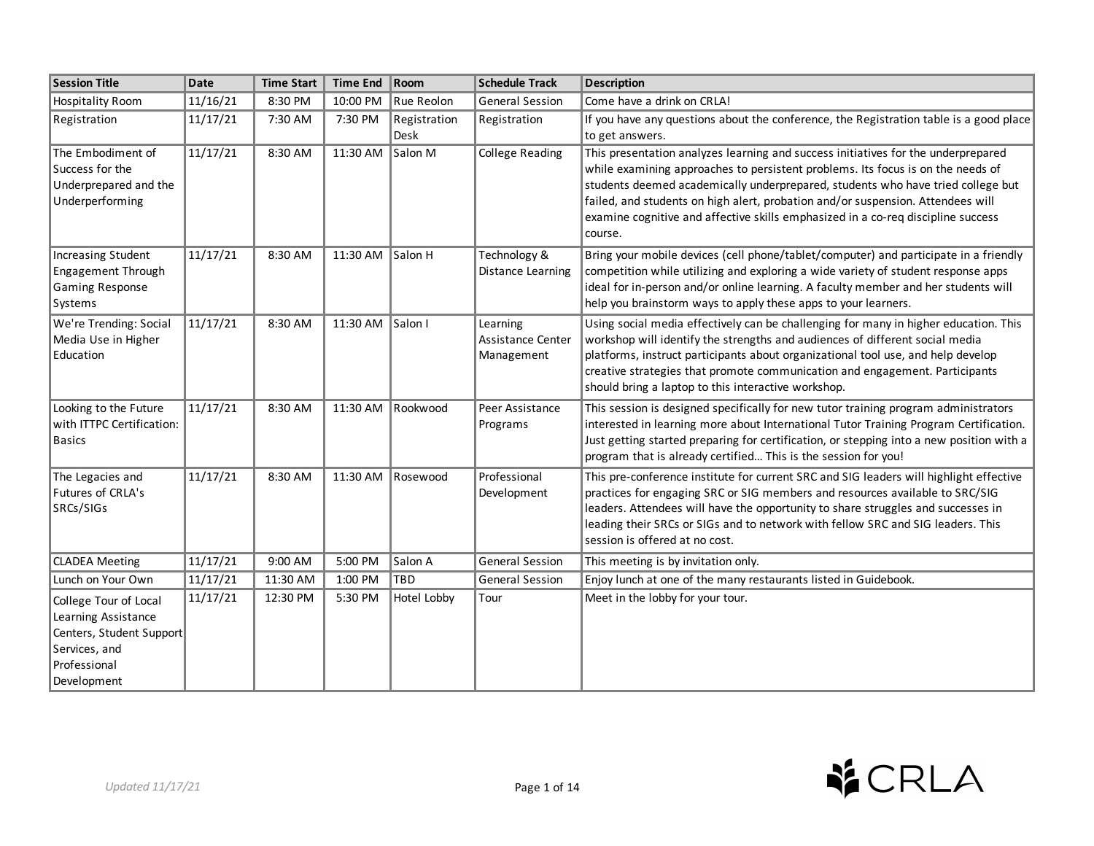| <b>Session Title</b>                                                                                                     | <b>Date</b> | <b>Time Start</b> | <b>Time End</b>  | $ $ Room                    | <b>Schedule Track</b>                       | <b>Description</b>                                                                                                                                                                                                                                                                                                                                                                                                                        |
|--------------------------------------------------------------------------------------------------------------------------|-------------|-------------------|------------------|-----------------------------|---------------------------------------------|-------------------------------------------------------------------------------------------------------------------------------------------------------------------------------------------------------------------------------------------------------------------------------------------------------------------------------------------------------------------------------------------------------------------------------------------|
| <b>Hospitality Room</b>                                                                                                  | 11/16/21    | 8:30 PM           | 10:00 PM         | Rue Reolon                  | General Session                             | Come have a drink on CRLA!                                                                                                                                                                                                                                                                                                                                                                                                                |
| Registration                                                                                                             | 11/17/21    | 7:30 AM           | 7:30 PM          | Registration<br><b>Desk</b> | Registration                                | If you have any questions about the conference, the Registration table is a good place<br>to get answers.                                                                                                                                                                                                                                                                                                                                 |
| The Embodiment of<br>Success for the<br>Underprepared and the<br>Underperforming                                         | 11/17/21    | 8:30 AM           | 11:30 AM Salon M |                             | <b>College Reading</b>                      | This presentation analyzes learning and success initiatives for the underprepared<br>while examining approaches to persistent problems. Its focus is on the needs of<br>students deemed academically underprepared, students who have tried college but<br>failed, and students on high alert, probation and/or suspension. Attendees will<br>examine cognitive and affective skills emphasized in a co-req discipline success<br>course. |
| <b>Increasing Student</b><br>Engagement Through<br>Gaming Response<br>Systems                                            | 11/17/21    | 8:30 AM           | 11:30 AM Salon H |                             | Technology &<br>Distance Learning           | Bring your mobile devices (cell phone/tablet/computer) and participate in a friendly<br>competition while utilizing and exploring a wide variety of student response apps<br>ideal for in-person and/or online learning. A faculty member and her students will<br>help you brainstorm ways to apply these apps to your learners.                                                                                                         |
| We're Trending: Social<br>Media Use in Higher<br>Education                                                               | 11/17/21    | 8:30 AM           | 11:30 AM Salon I |                             | Learning<br>Assistance Center<br>Management | Using social media effectively can be challenging for many in higher education. This<br>workshop will identify the strengths and audiences of different social media<br>platforms, instruct participants about organizational tool use, and help develop<br>creative strategies that promote communication and engagement. Participants<br>should bring a laptop to this interactive workshop.                                            |
| Looking to the Future<br>with ITTPC Certification:<br><b>Basics</b>                                                      | 11/17/21    | 8:30 AM           |                  | 11:30 AM Rookwood           | Peer Assistance<br>Programs                 | This session is designed specifically for new tutor training program administrators<br>interested in learning more about International Tutor Training Program Certification.<br>Just getting started preparing for certification, or stepping into a new position with a<br>program that is already certified This is the session for you!                                                                                                |
| The Legacies and<br>Futures of CRLA's<br>SRCs/SIGs                                                                       | 11/17/21    | 8:30 AM           |                  | 11:30 AM Rosewood           | Professional<br>Development                 | This pre-conference institute for current SRC and SIG leaders will highlight effective<br>practices for engaging SRC or SIG members and resources available to SRC/SIG<br>leaders. Attendees will have the opportunity to share struggles and successes in<br>leading their SRCs or SIGs and to network with fellow SRC and SIG leaders. This<br>session is offered at no cost.                                                           |
| <b>CLADEA Meeting</b>                                                                                                    | 11/17/21    | 9:00 AM           | 5:00 PM          | Salon A                     | <b>General Session</b>                      | This meeting is by invitation only.                                                                                                                                                                                                                                                                                                                                                                                                       |
| Lunch on Your Own                                                                                                        | 11/17/21    | 11:30 AM          | 1:00 PM          | <b>TBD</b>                  | <b>General Session</b>                      | Enjoy lunch at one of the many restaurants listed in Guidebook.                                                                                                                                                                                                                                                                                                                                                                           |
| College Tour of Local<br>Learning Assistance<br>Centers, Student Support<br>Services, and<br>Professional<br>Development | 11/17/21    | 12:30 PM          | 5:30 PM          | Hotel Lobby                 | Tour                                        | Meet in the lobby for your tour.                                                                                                                                                                                                                                                                                                                                                                                                          |

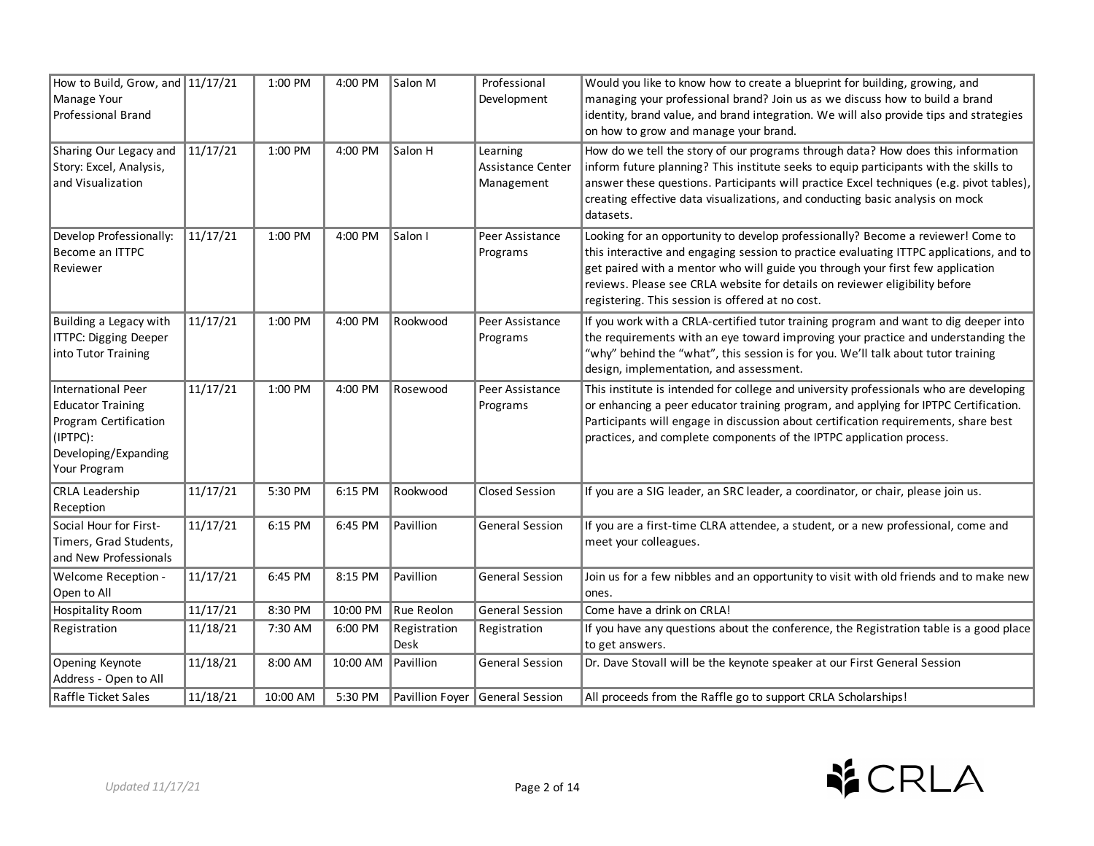| How to Build, Grow, and 11/17/21<br>Manage Your<br>Professional Brand                                                              |          | 1:00 PM  | 4:00 PM  | Salon M              | Professional<br>Development                 | Would you like to know how to create a blueprint for building, growing, and<br>managing your professional brand? Join us as we discuss how to build a brand<br>identity, brand value, and brand integration. We will also provide tips and strategies<br>on how to grow and manage your brand.                                                                                                   |
|------------------------------------------------------------------------------------------------------------------------------------|----------|----------|----------|----------------------|---------------------------------------------|--------------------------------------------------------------------------------------------------------------------------------------------------------------------------------------------------------------------------------------------------------------------------------------------------------------------------------------------------------------------------------------------------|
| Sharing Our Legacy and<br>Story: Excel, Analysis,<br>and Visualization                                                             | 11/17/21 | 1:00 PM  | 4:00 PM  | Salon H              | Learning<br>Assistance Center<br>Management | How do we tell the story of our programs through data? How does this information<br>inform future planning? This institute seeks to equip participants with the skills to<br>answer these questions. Participants will practice Excel techniques (e.g. pivot tables),<br>creating effective data visualizations, and conducting basic analysis on mock<br>datasets.                              |
| Develop Professionally:<br>Become an ITTPC<br>Reviewer                                                                             | 11/17/21 | 1:00 PM  | 4:00 PM  | Salon I              | Peer Assistance<br>Programs                 | Looking for an opportunity to develop professionally? Become a reviewer! Come to<br>this interactive and engaging session to practice evaluating ITTPC applications, and to<br>get paired with a mentor who will guide you through your first few application<br>reviews. Please see CRLA website for details on reviewer eligibility before<br>registering. This session is offered at no cost. |
| Building a Legacy with<br><b>ITTPC: Digging Deeper</b><br>into Tutor Training                                                      | 11/17/21 | 1:00 PM  | 4:00 PM  | Rookwood             | Peer Assistance<br>Programs                 | If you work with a CRLA-certified tutor training program and want to dig deeper into<br>the requirements with an eye toward improving your practice and understanding the<br>"why" behind the "what", this session is for you. We'll talk about tutor training<br>design, implementation, and assessment.                                                                                        |
| <b>International Peer</b><br><b>Educator Training</b><br>Program Certification<br>(IPTPC):<br>Developing/Expanding<br>Your Program | 11/17/21 | 1:00 PM  | 4:00 PM  | Rosewood             | Peer Assistance<br>Programs                 | This institute is intended for college and university professionals who are developing<br>or enhancing a peer educator training program, and applying for IPTPC Certification.<br>Participants will engage in discussion about certification requirements, share best<br>practices, and complete components of the IPTPC application process.                                                    |
| <b>CRLA Leadership</b><br>Reception                                                                                                | 11/17/21 | 5:30 PM  | 6:15 PM  | Rookwood             | Closed Session                              | If you are a SIG leader, an SRC leader, a coordinator, or chair, please join us.                                                                                                                                                                                                                                                                                                                 |
| Social Hour for First-<br>Timers, Grad Students,<br>and New Professionals                                                          | 11/17/21 | 6:15 PM  | 6:45 PM  | Pavillion            | <b>General Session</b>                      | If you are a first-time CLRA attendee, a student, or a new professional, come and<br>meet your colleagues.                                                                                                                                                                                                                                                                                       |
| Welcome Reception -<br>Open to All                                                                                                 | 11/17/21 | 6:45 PM  | 8:15 PM  | Pavillion            | <b>General Session</b>                      | Join us for a few nibbles and an opportunity to visit with old friends and to make new<br>ones.                                                                                                                                                                                                                                                                                                  |
| <b>Hospitality Room</b>                                                                                                            | 11/17/21 | 8:30 PM  | 10:00 PM | Rue Reolon           | <b>General Session</b>                      | Come have a drink on CRLA!                                                                                                                                                                                                                                                                                                                                                                       |
| Registration                                                                                                                       | 11/18/21 | 7:30 AM  | 6:00 PM  | Registration<br>Desk | Registration                                | If you have any questions about the conference, the Registration table is a good place<br>to get answers.                                                                                                                                                                                                                                                                                        |
| Opening Keynote<br>Address - Open to All                                                                                           | 11/18/21 | 8:00 AM  | 10:00 AM | <b>Pavillion</b>     | <b>General Session</b>                      | Dr. Dave Stovall will be the keynote speaker at our First General Session                                                                                                                                                                                                                                                                                                                        |
| <b>Raffle Ticket Sales</b>                                                                                                         | 11/18/21 | 10:00 AM | 5:30 PM  |                      | Pavillion Foyer General Session             | All proceeds from the Raffle go to support CRLA Scholarships!                                                                                                                                                                                                                                                                                                                                    |

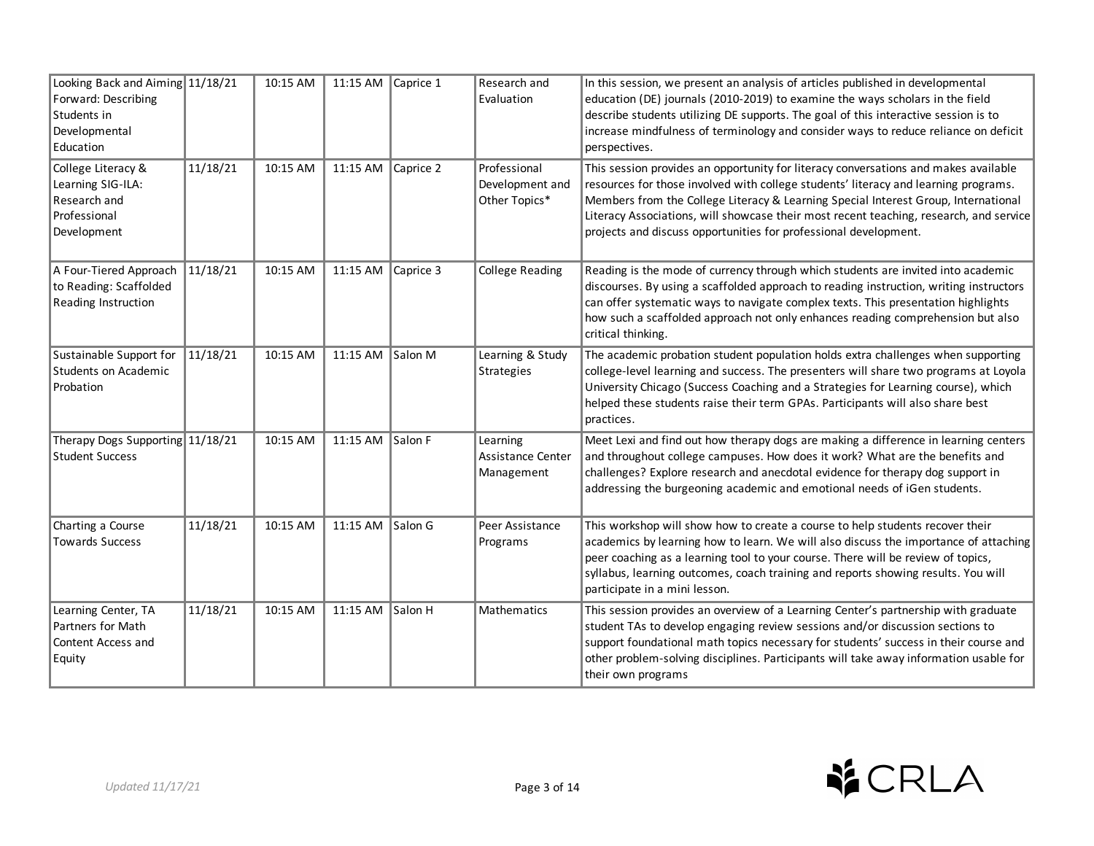| Looking Back and Aiming 11/18/21<br>Forward: Describing<br>Students in<br>Developmental<br>Education |          | 10:15 AM | 11:15 AM Caprice 1       |           | Research and<br>Evaluation                       | In this session, we present an analysis of articles published in developmental<br>education (DE) journals (2010-2019) to examine the ways scholars in the field<br>describe students utilizing DE supports. The goal of this interactive session is to<br>increase mindfulness of terminology and consider ways to reduce reliance on deficit<br>perspectives.                                                                 |
|------------------------------------------------------------------------------------------------------|----------|----------|--------------------------|-----------|--------------------------------------------------|--------------------------------------------------------------------------------------------------------------------------------------------------------------------------------------------------------------------------------------------------------------------------------------------------------------------------------------------------------------------------------------------------------------------------------|
| College Literacy &<br>Learning SIG-ILA:<br>Research and<br>Professional<br>Development               | 11/18/21 | 10:15 AM | 11:15 AM Caprice 2       |           | Professional<br>Development and<br>Other Topics* | This session provides an opportunity for literacy conversations and makes available<br>resources for those involved with college students' literacy and learning programs.<br>Members from the College Literacy & Learning Special Interest Group, International<br>Literacy Associations, will showcase their most recent teaching, research, and service<br>projects and discuss opportunities for professional development. |
| A Four-Tiered Approach<br>to Reading: Scaffolded<br>Reading Instruction                              | 11/18/21 | 10:15 AM | 11:15 AM                 | Caprice 3 | <b>College Reading</b>                           | Reading is the mode of currency through which students are invited into academic<br>discourses. By using a scaffolded approach to reading instruction, writing instructors<br>can offer systematic ways to navigate complex texts. This presentation highlights<br>how such a scaffolded approach not only enhances reading comprehension but also<br>critical thinking.                                                       |
| Sustainable Support for<br>Students on Academic<br>Probation                                         | 11/18/21 | 10:15 AM | 11:15 AM Salon M         |           | Learning & Study<br>Strategies                   | The academic probation student population holds extra challenges when supporting<br>college-level learning and success. The presenters will share two programs at Loyola<br>University Chicago (Success Coaching and a Strategies for Learning course), which<br>helped these students raise their term GPAs. Participants will also share best<br>practices.                                                                  |
| Therapy Dogs Supporting 11/18/21<br><b>Student Success</b>                                           |          | 10:15 AM | 11:15 AM $\vert$ Salon F |           | Learning<br>Assistance Center<br>Management      | Meet Lexi and find out how therapy dogs are making a difference in learning centers<br>and throughout college campuses. How does it work? What are the benefits and<br>challenges? Explore research and anecdotal evidence for therapy dog support in<br>addressing the burgeoning academic and emotional needs of iGen students.                                                                                              |
| Charting a Course<br><b>Towards Success</b>                                                          | 11/18/21 | 10:15 AM | 11:15 AM                 | Salon G   | Peer Assistance<br>Programs                      | This workshop will show how to create a course to help students recover their<br>academics by learning how to learn. We will also discuss the importance of attaching<br>peer coaching as a learning tool to your course. There will be review of topics,<br>syllabus, learning outcomes, coach training and reports showing results. You will<br>participate in a mini lesson.                                                |
| Learning Center, TA<br>Partners for Math<br>Content Access and<br>Equity                             | 11/18/21 | 10:15 AM | 11:15 AM                 | Salon H   | Mathematics                                      | This session provides an overview of a Learning Center's partnership with graduate<br>student TAs to develop engaging review sessions and/or discussion sections to<br>support foundational math topics necessary for students' success in their course and<br>other problem-solving disciplines. Participants will take away information usable for<br>their own programs                                                     |

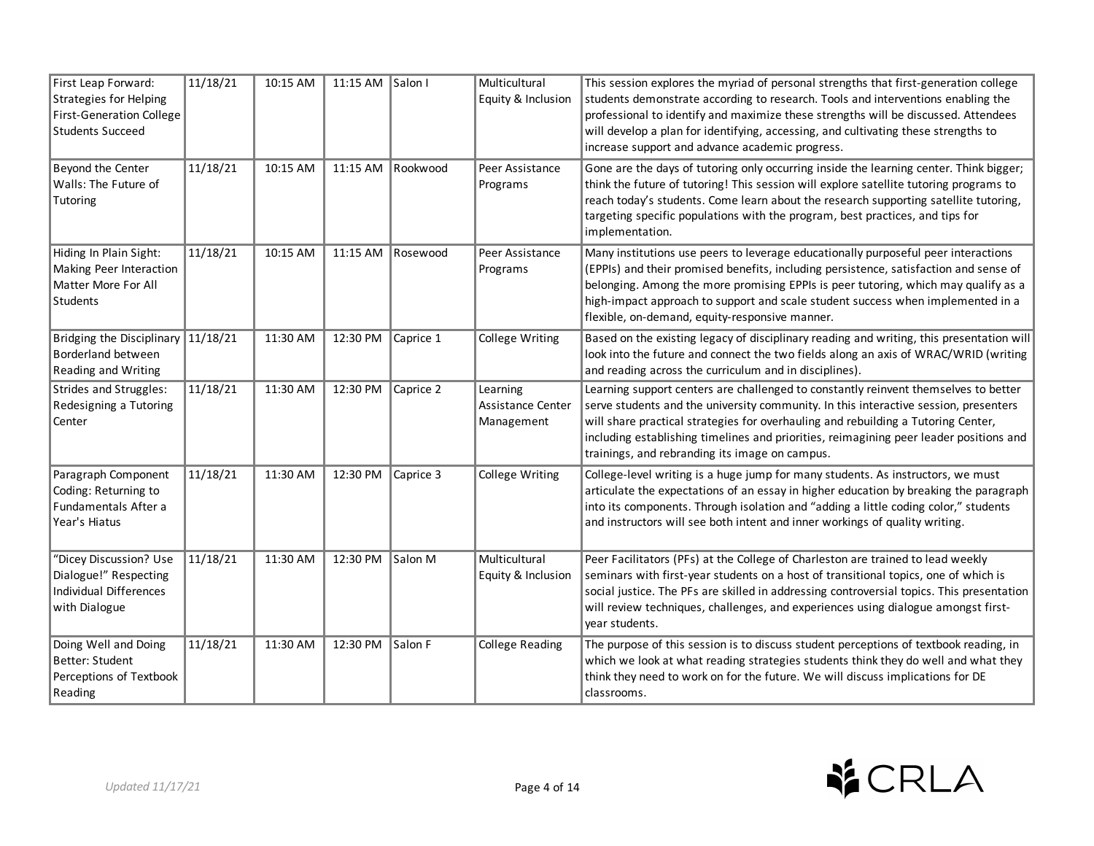| First Leap Forward:<br>Strategies for Helping<br><b>First-Generation College</b><br><b>Students Succeed</b> | 11/18/21 | 10:15 AM | 11:15 AM Salon I |                   | Multicultural<br>Equity & Inclusion         | This session explores the myriad of personal strengths that first-generation college<br>students demonstrate according to research. Tools and interventions enabling the<br>professional to identify and maximize these strengths will be discussed. Attendees<br>will develop a plan for identifying, accessing, and cultivating these strengths to<br>increase support and advance academic progress.      |
|-------------------------------------------------------------------------------------------------------------|----------|----------|------------------|-------------------|---------------------------------------------|--------------------------------------------------------------------------------------------------------------------------------------------------------------------------------------------------------------------------------------------------------------------------------------------------------------------------------------------------------------------------------------------------------------|
| Beyond the Center<br>Walls: The Future of<br>Tutoring                                                       | 11/18/21 | 10:15 AM |                  | 11:15 AM Rookwood | Peer Assistance<br>Programs                 | Gone are the days of tutoring only occurring inside the learning center. Think bigger;<br>think the future of tutoring! This session will explore satellite tutoring programs to<br>reach today's students. Come learn about the research supporting satellite tutoring,<br>targeting specific populations with the program, best practices, and tips for<br>implementation.                                 |
| Hiding In Plain Sight:<br>Making Peer Interaction<br>Matter More For All<br>Students                        | 11/18/21 | 10:15 AM |                  | 11:15 AM Rosewood | Peer Assistance<br>Programs                 | Many institutions use peers to leverage educationally purposeful peer interactions<br>(EPPIs) and their promised benefits, including persistence, satisfaction and sense of<br>belonging. Among the more promising EPPIs is peer tutoring, which may qualify as a<br>high-impact approach to support and scale student success when implemented in a<br>flexible, on-demand, equity-responsive manner.       |
| Bridging the Disciplinary 11/18/21<br>Borderland between<br>Reading and Writing                             |          | 11:30 AM | 12:30 PM         | Caprice 1         | College Writing                             | Based on the existing legacy of disciplinary reading and writing, this presentation will<br>look into the future and connect the two fields along an axis of WRAC/WRID (writing<br>and reading across the curriculum and in disciplines).                                                                                                                                                                    |
| Strides and Struggles:<br>Redesigning a Tutoring<br>Center                                                  | 11/18/21 | 11:30 AM | 12:30 PM         | Caprice 2         | Learning<br>Assistance Center<br>Management | Learning support centers are challenged to constantly reinvent themselves to better<br>serve students and the university community. In this interactive session, presenters<br>will share practical strategies for overhauling and rebuilding a Tutoring Center,<br>including establishing timelines and priorities, reimagining peer leader positions and<br>trainings, and rebranding its image on campus. |
| Paragraph Component<br>Coding: Returning to<br>Fundamentals After a<br>Year's Hiatus                        | 11/18/21 | 11:30 AM | 12:30 PM         | Caprice 3         | College Writing                             | College-level writing is a huge jump for many students. As instructors, we must<br>articulate the expectations of an essay in higher education by breaking the paragraph<br>into its components. Through isolation and "adding a little coding color," students<br>and instructors will see both intent and inner workings of quality writing.                                                               |
| "Dicey Discussion? Use<br>Dialogue!" Respecting<br><b>Individual Differences</b><br>with Dialogue           | 11/18/21 | 11:30 AM | 12:30 PM         | Salon M           | Multicultural<br>Equity & Inclusion         | Peer Facilitators (PFs) at the College of Charleston are trained to lead weekly<br>seminars with first-year students on a host of transitional topics, one of which is<br>social justice. The PFs are skilled in addressing controversial topics. This presentation<br>will review techniques, challenges, and experiences using dialogue amongst first-<br>year students.                                   |
| Doing Well and Doing<br>Better: Student<br>Perceptions of Textbook<br>Reading                               | 11/18/21 | 11:30 AM | 12:30 PM         | Salon F           | <b>College Reading</b>                      | The purpose of this session is to discuss student perceptions of textbook reading, in<br>which we look at what reading strategies students think they do well and what they<br>think they need to work on for the future. We will discuss implications for DE<br>classrooms.                                                                                                                                 |

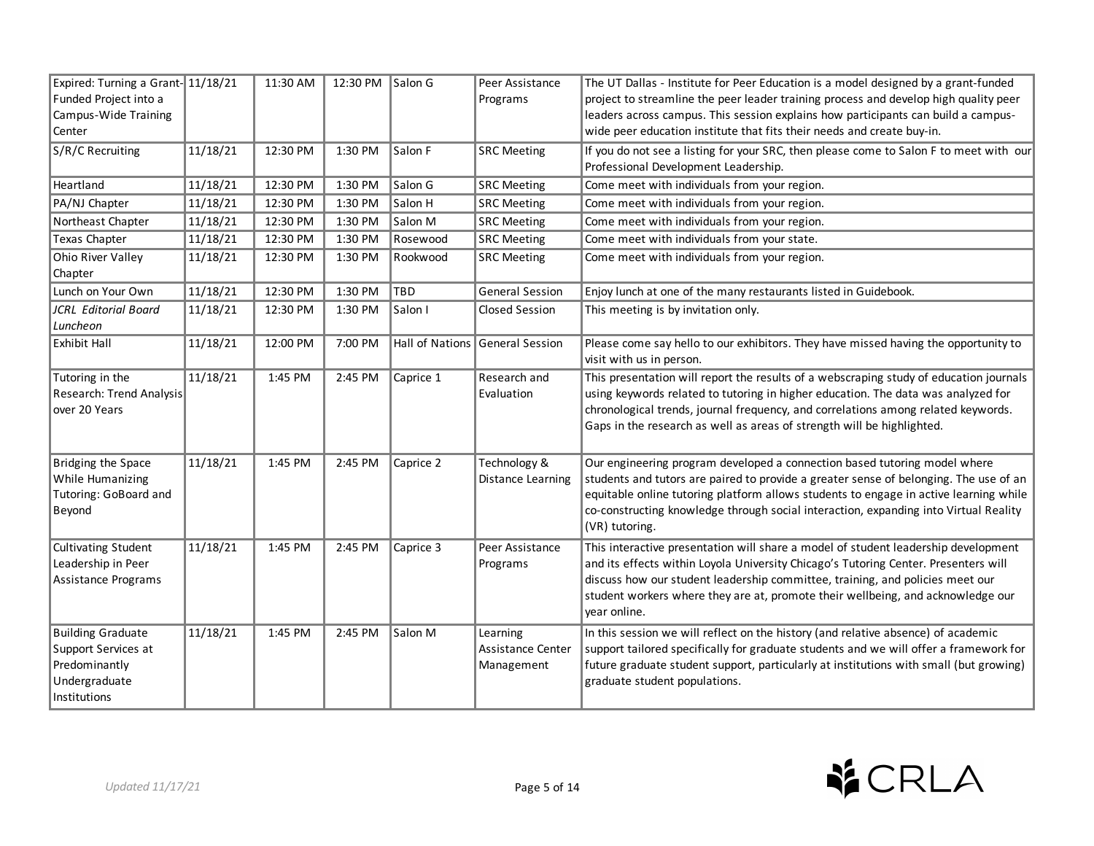| Expired: Turning a Grant-11/18/21                                                                 |          | 11:30 AM | 12:30 PM Salon G |            | Peer Assistance                             | The UT Dallas - Institute for Peer Education is a model designed by a grant-funded                                                                                                                                                                                                                                                                                    |
|---------------------------------------------------------------------------------------------------|----------|----------|------------------|------------|---------------------------------------------|-----------------------------------------------------------------------------------------------------------------------------------------------------------------------------------------------------------------------------------------------------------------------------------------------------------------------------------------------------------------------|
| Funded Project into a                                                                             |          |          |                  |            | Programs                                    | project to streamline the peer leader training process and develop high quality peer                                                                                                                                                                                                                                                                                  |
| Campus-Wide Training                                                                              |          |          |                  |            |                                             | leaders across campus. This session explains how participants can build a campus-                                                                                                                                                                                                                                                                                     |
| Center                                                                                            |          |          |                  |            |                                             | wide peer education institute that fits their needs and create buy-in.                                                                                                                                                                                                                                                                                                |
| S/R/C Recruiting                                                                                  | 11/18/21 | 12:30 PM | 1:30 PM          | Salon F    | <b>SRC Meeting</b>                          | If you do not see a listing for your SRC, then please come to Salon F to meet with our                                                                                                                                                                                                                                                                                |
|                                                                                                   |          |          |                  |            |                                             | Professional Development Leadership.                                                                                                                                                                                                                                                                                                                                  |
| Heartland                                                                                         | 11/18/21 | 12:30 PM | 1:30 PM          | Salon G    | <b>SRC Meeting</b>                          | Come meet with individuals from your region.                                                                                                                                                                                                                                                                                                                          |
| PA/NJ Chapter                                                                                     | 11/18/21 | 12:30 PM | 1:30 PM          | Salon H    | <b>SRC Meeting</b>                          | Come meet with individuals from your region.                                                                                                                                                                                                                                                                                                                          |
| Northeast Chapter                                                                                 | 11/18/21 | 12:30 PM | 1:30 PM          | Salon M    | <b>SRC Meeting</b>                          | Come meet with individuals from your region.                                                                                                                                                                                                                                                                                                                          |
| Texas Chapter                                                                                     | 11/18/21 | 12:30 PM | 1:30 PM          | Rosewood   | <b>SRC Meeting</b>                          | Come meet with individuals from your state.                                                                                                                                                                                                                                                                                                                           |
| Ohio River Valley<br>Chapter                                                                      | 11/18/21 | 12:30 PM | 1:30 PM          | Rookwood   | <b>SRC Meeting</b>                          | Come meet with individuals from your region.                                                                                                                                                                                                                                                                                                                          |
| Lunch on Your Own                                                                                 | 11/18/21 | 12:30 PM | 1:30 PM          | <b>TBD</b> | <b>General Session</b>                      | Enjoy lunch at one of the many restaurants listed in Guidebook.                                                                                                                                                                                                                                                                                                       |
| JCRL Editorial Board<br>Luncheon                                                                  | 11/18/21 | 12:30 PM | 1:30 PM          | Salon I    | Closed Session                              | This meeting is by invitation only.                                                                                                                                                                                                                                                                                                                                   |
| <b>Exhibit Hall</b>                                                                               | 11/18/21 | 12:00 PM | 7:00 PM          |            | Hall of Nations General Session             | Please come say hello to our exhibitors. They have missed having the opportunity to<br>visit with us in person.                                                                                                                                                                                                                                                       |
| Tutoring in the<br>Research: Trend Analysis<br>over 20 Years                                      | 11/18/21 | 1:45 PM  | 2:45 PM          | Caprice 1  | Research and<br>Evaluation                  | This presentation will report the results of a webscraping study of education journals<br>using keywords related to tutoring in higher education. The data was analyzed for<br>chronological trends, journal frequency, and correlations among related keywords.<br>Gaps in the research as well as areas of strength will be highlighted.                            |
| Bridging the Space<br>While Humanizing<br>Tutoring: GoBoard and<br>Beyond                         | 11/18/21 | 1:45 PM  | 2:45 PM          | Caprice 2  | Technology &<br><b>Distance Learning</b>    | Our engineering program developed a connection based tutoring model where<br>students and tutors are paired to provide a greater sense of belonging. The use of an<br>equitable online tutoring platform allows students to engage in active learning while<br>co-constructing knowledge through social interaction, expanding into Virtual Reality<br>(VR) tutoring. |
| <b>Cultivating Student</b><br>Leadership in Peer<br>Assistance Programs                           | 11/18/21 | 1:45 PM  | 2:45 PM          | Caprice 3  | Peer Assistance<br>Programs                 | This interactive presentation will share a model of student leadership development<br>and its effects within Loyola University Chicago's Tutoring Center. Presenters will<br>discuss how our student leadership committee, training, and policies meet our<br>student workers where they are at, promote their wellbeing, and acknowledge our<br>vear online.         |
| <b>Building Graduate</b><br>Support Services at<br>Predominantly<br>Undergraduate<br>Institutions | 11/18/21 | 1:45 PM  | 2:45 PM          | Salon M    | Learning<br>Assistance Center<br>Management | In this session we will reflect on the history (and relative absence) of academic<br>support tailored specifically for graduate students and we will offer a framework for<br>future graduate student support, particularly at institutions with small (but growing)<br>graduate student populations.                                                                 |

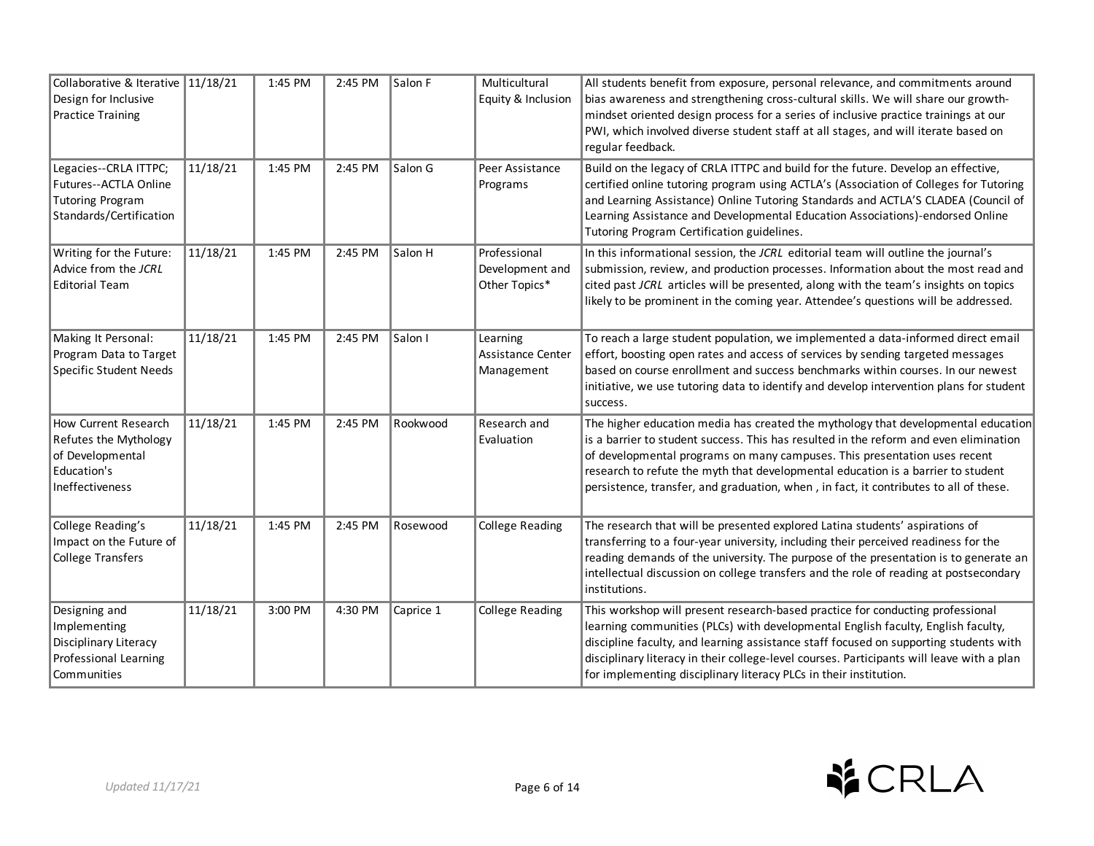| Collaborative & Iterative 11/18/21<br>Design for Inclusive<br><b>Practice Training</b>                     |          | 1:45 PM | 2:45 PM | Salon F   | Multicultural<br>Equity & Inclusion              | All students benefit from exposure, personal relevance, and commitments around<br>bias awareness and strengthening cross-cultural skills. We will share our growth-<br>mindset oriented design process for a series of inclusive practice trainings at our<br>PWI, which involved diverse student staff at all stages, and will iterate based on<br>regular feedback.                                                                |
|------------------------------------------------------------------------------------------------------------|----------|---------|---------|-----------|--------------------------------------------------|--------------------------------------------------------------------------------------------------------------------------------------------------------------------------------------------------------------------------------------------------------------------------------------------------------------------------------------------------------------------------------------------------------------------------------------|
| Legacies--CRLA ITTPC;<br>Futures--ACTLA Online<br><b>Tutoring Program</b><br>Standards/Certification       | 11/18/21 | 1:45 PM | 2:45 PM | Salon G   | Peer Assistance<br>Programs                      | Build on the legacy of CRLA ITTPC and build for the future. Develop an effective,<br>certified online tutoring program using ACTLA's (Association of Colleges for Tutoring<br>and Learning Assistance) Online Tutoring Standards and ACTLA'S CLADEA (Council of<br>Learning Assistance and Developmental Education Associations)-endorsed Online<br>Tutoring Program Certification guidelines.                                       |
| Writing for the Future:<br>Advice from the JCRL<br><b>Editorial Team</b>                                   | 11/18/21 | 1:45 PM | 2:45 PM | Salon H   | Professional<br>Development and<br>Other Topics* | In this informational session, the JCRL editorial team will outline the journal's<br>submission, review, and production processes. Information about the most read and<br>cited past JCRL articles will be presented, along with the team's insights on topics<br>likely to be prominent in the coming year. Attendee's questions will be addressed.                                                                                 |
| Making It Personal:<br>Program Data to Target<br><b>Specific Student Needs</b>                             | 11/18/21 | 1:45 PM | 2:45 PM | Salon I   | Learning<br>Assistance Center<br>Management      | To reach a large student population, we implemented a data-informed direct email<br>effort, boosting open rates and access of services by sending targeted messages<br>based on course enrollment and success benchmarks within courses. In our newest<br>initiative, we use tutoring data to identify and develop intervention plans for student<br>success.                                                                        |
| How Current Research<br>Refutes the Mythology<br>of Developmental<br>Education's<br><b>Ineffectiveness</b> | 11/18/21 | 1:45 PM | 2:45 PM | Rookwood  | Research and<br>Evaluation                       | The higher education media has created the mythology that developmental education<br>is a barrier to student success. This has resulted in the reform and even elimination<br>of developmental programs on many campuses. This presentation uses recent<br>research to refute the myth that developmental education is a barrier to student<br>persistence, transfer, and graduation, when, in fact, it contributes to all of these. |
| College Reading's<br>Impact on the Future of<br><b>College Transfers</b>                                   | 11/18/21 | 1:45 PM | 2:45 PM | Rosewood  | <b>College Reading</b>                           | The research that will be presented explored Latina students' aspirations of<br>transferring to a four-year university, including their perceived readiness for the<br>reading demands of the university. The purpose of the presentation is to generate an<br>intellectual discussion on college transfers and the role of reading at postsecondary<br>institutions.                                                                |
| Designing and<br>Implementing<br>Disciplinary Literacy<br>Professional Learning<br>Communities             | 11/18/21 | 3:00 PM | 4:30 PM | Caprice 1 | <b>College Reading</b>                           | This workshop will present research-based practice for conducting professional<br>learning communities (PLCs) with developmental English faculty, English faculty,<br>discipline faculty, and learning assistance staff focused on supporting students with<br>disciplinary literacy in their college-level courses. Participants will leave with a plan<br>for implementing disciplinary literacy PLCs in their institution.        |

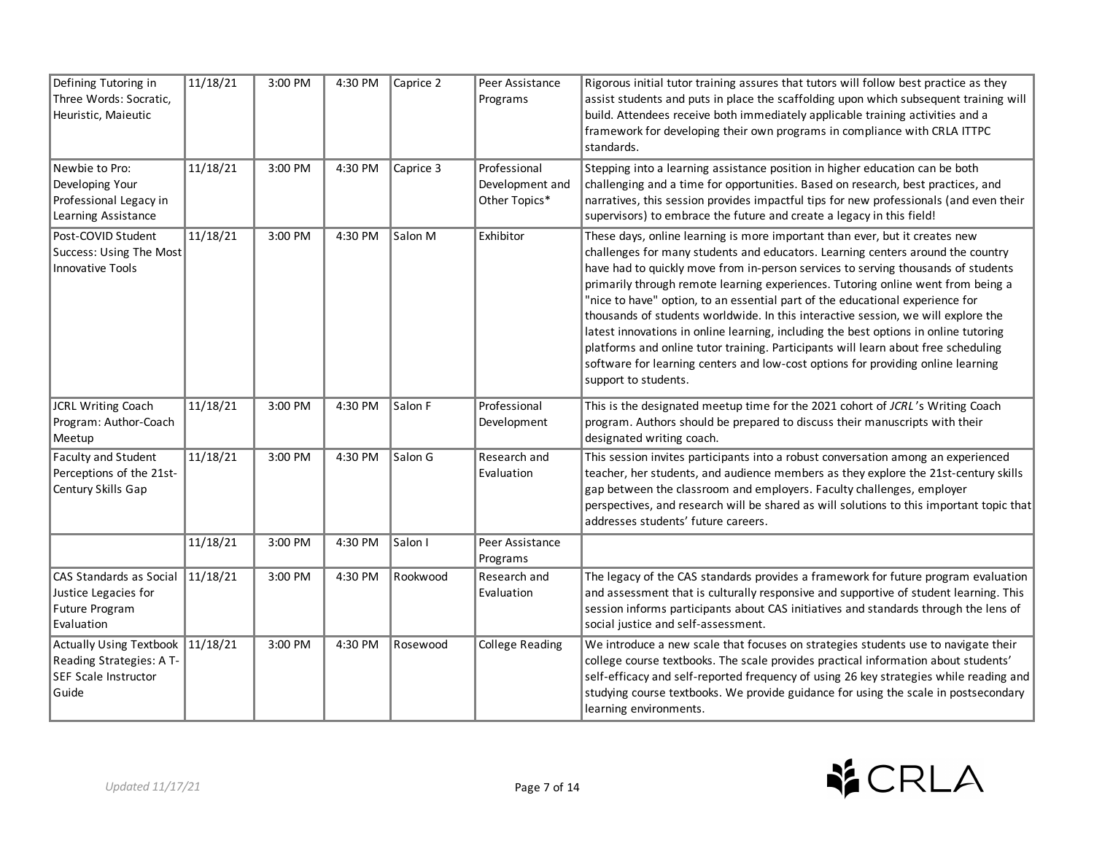| Defining Tutoring in<br>Three Words: Socratic,<br>Heuristic, Maieutic                       | 11/18/21 | 3:00 PM | 4:30 PM | Caprice 2 | Peer Assistance<br>Programs                      | Rigorous initial tutor training assures that tutors will follow best practice as they<br>assist students and puts in place the scaffolding upon which subsequent training will<br>build. Attendees receive both immediately applicable training activities and a<br>framework for developing their own programs in compliance with CRLA ITTPC<br>standards.                                                                                                                                                                                                                                                                                                                                                                                                                                             |
|---------------------------------------------------------------------------------------------|----------|---------|---------|-----------|--------------------------------------------------|---------------------------------------------------------------------------------------------------------------------------------------------------------------------------------------------------------------------------------------------------------------------------------------------------------------------------------------------------------------------------------------------------------------------------------------------------------------------------------------------------------------------------------------------------------------------------------------------------------------------------------------------------------------------------------------------------------------------------------------------------------------------------------------------------------|
| Newbie to Pro:<br>Developing Your<br>Professional Legacy in<br>Learning Assistance          | 11/18/21 | 3:00 PM | 4:30 PM | Caprice 3 | Professional<br>Development and<br>Other Topics* | Stepping into a learning assistance position in higher education can be both<br>challenging and a time for opportunities. Based on research, best practices, and<br>narratives, this session provides impactful tips for new professionals (and even their<br>supervisors) to embrace the future and create a legacy in this field!                                                                                                                                                                                                                                                                                                                                                                                                                                                                     |
| Post-COVID Student<br>Success: Using The Most<br>Innovative Tools                           | 11/18/21 | 3:00 PM | 4:30 PM | Salon M   | Exhibitor                                        | These days, online learning is more important than ever, but it creates new<br>challenges for many students and educators. Learning centers around the country<br>have had to quickly move from in-person services to serving thousands of students<br>primarily through remote learning experiences. Tutoring online went from being a<br>"nice to have" option, to an essential part of the educational experience for<br>thousands of students worldwide. In this interactive session, we will explore the<br>latest innovations in online learning, including the best options in online tutoring<br>platforms and online tutor training. Participants will learn about free scheduling<br>software for learning centers and low-cost options for providing online learning<br>support to students. |
| JCRL Writing Coach<br>Program: Author-Coach<br>Meetup                                       | 11/18/21 | 3:00 PM | 4:30 PM | Salon F   | Professional<br>Development                      | This is the designated meetup time for the 2021 cohort of JCRL's Writing Coach<br>program. Authors should be prepared to discuss their manuscripts with their<br>designated writing coach.                                                                                                                                                                                                                                                                                                                                                                                                                                                                                                                                                                                                              |
| Faculty and Student<br>Perceptions of the 21st-<br>Century Skills Gap                       | 11/18/21 | 3:00 PM | 4:30 PM | Salon G   | Research and<br>Evaluation                       | This session invites participants into a robust conversation among an experienced<br>teacher, her students, and audience members as they explore the 21st-century skills<br>gap between the classroom and employers. Faculty challenges, employer<br>perspectives, and research will be shared as will solutions to this important topic that<br>addresses students' future careers.                                                                                                                                                                                                                                                                                                                                                                                                                    |
|                                                                                             | 11/18/21 | 3:00 PM | 4:30 PM | Salon I   | Peer Assistance<br>Programs                      |                                                                                                                                                                                                                                                                                                                                                                                                                                                                                                                                                                                                                                                                                                                                                                                                         |
| CAS Standards as Social<br>Justice Legacies for<br>Future Program<br>Evaluation             | 11/18/21 | 3:00 PM | 4:30 PM | Rookwood  | Research and<br>Evaluation                       | The legacy of the CAS standards provides a framework for future program evaluation<br>and assessment that is culturally responsive and supportive of student learning. This<br>session informs participants about CAS initiatives and standards through the lens of<br>social justice and self-assessment.                                                                                                                                                                                                                                                                                                                                                                                                                                                                                              |
| <b>Actually Using Textbook</b><br>Reading Strategies: A T-<br>SEF Scale Instructor<br>Guide | 11/18/21 | 3:00 PM | 4:30 PM | Rosewood  | <b>College Reading</b>                           | We introduce a new scale that focuses on strategies students use to navigate their<br>college course textbooks. The scale provides practical information about students'<br>self-efficacy and self-reported frequency of using 26 key strategies while reading and<br>studying course textbooks. We provide guidance for using the scale in postsecondary<br>learning environments.                                                                                                                                                                                                                                                                                                                                                                                                                     |

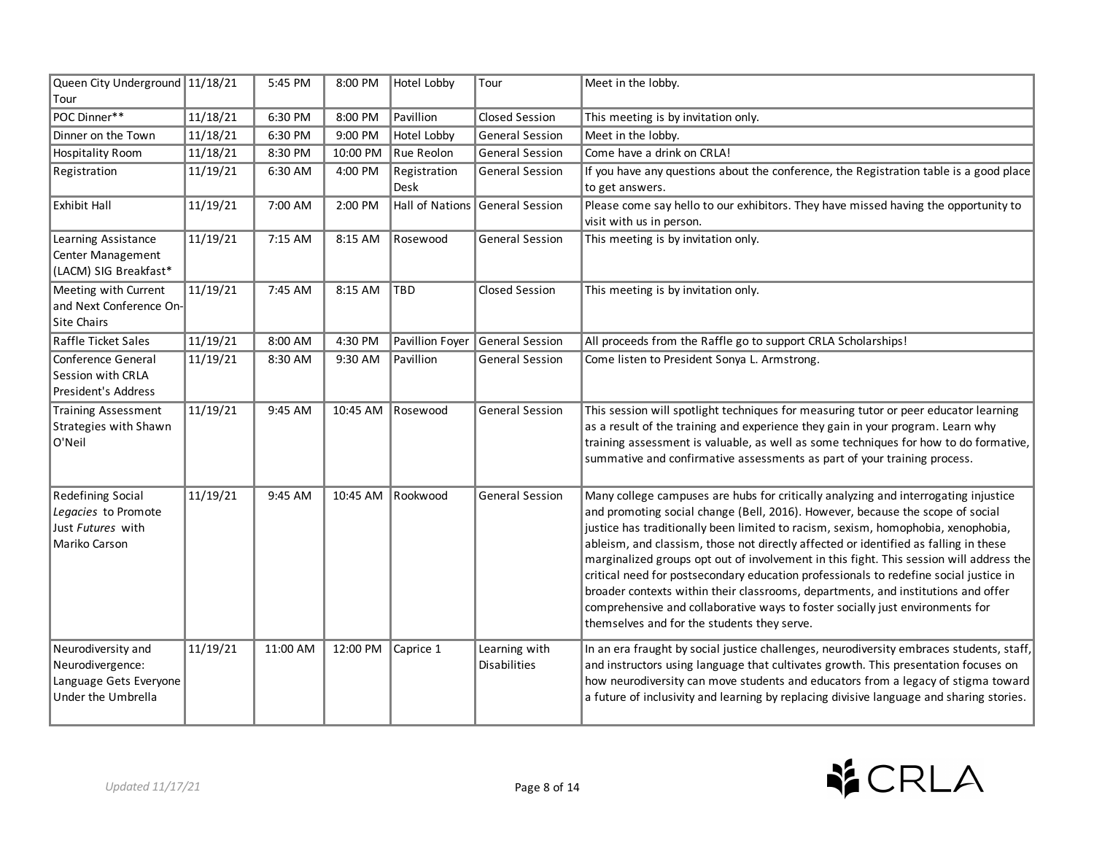| Queen City Underground 11/18/21<br>Tour                                                |          | 5:45 PM  | 8:00 PM  | Hotel Lobby          | Tour                          | Meet in the lobby.                                                                                                                                                                                                                                                                                                                                                                                                                                                                                                                                                                                                                                                                                                                                          |
|----------------------------------------------------------------------------------------|----------|----------|----------|----------------------|-------------------------------|-------------------------------------------------------------------------------------------------------------------------------------------------------------------------------------------------------------------------------------------------------------------------------------------------------------------------------------------------------------------------------------------------------------------------------------------------------------------------------------------------------------------------------------------------------------------------------------------------------------------------------------------------------------------------------------------------------------------------------------------------------------|
| POC Dinner**                                                                           | 11/18/21 | 6:30 PM  | 8:00 PM  | Pavillion            | <b>Closed Session</b>         | This meeting is by invitation only.                                                                                                                                                                                                                                                                                                                                                                                                                                                                                                                                                                                                                                                                                                                         |
| Dinner on the Town                                                                     | 11/18/21 | 6:30 PM  | 9:00 PM  | Hotel Lobby          | <b>General Session</b>        | Meet in the lobby.                                                                                                                                                                                                                                                                                                                                                                                                                                                                                                                                                                                                                                                                                                                                          |
| <b>Hospitality Room</b>                                                                | 11/18/21 | 8:30 PM  | 10:00 PM | Rue Reolon           | <b>General Session</b>        | Come have a drink on CRLA!                                                                                                                                                                                                                                                                                                                                                                                                                                                                                                                                                                                                                                                                                                                                  |
| Registration                                                                           | 11/19/21 | 6:30 AM  | 4:00 PM  | Registration<br>Desk | <b>General Session</b>        | If you have any questions about the conference, the Registration table is a good place<br>to get answers.                                                                                                                                                                                                                                                                                                                                                                                                                                                                                                                                                                                                                                                   |
| <b>Exhibit Hall</b>                                                                    | 11/19/21 | 7:00 AM  | 2:00 PM  | Hall of Nations      | General Session               | Please come say hello to our exhibitors. They have missed having the opportunity to<br>visit with us in person.                                                                                                                                                                                                                                                                                                                                                                                                                                                                                                                                                                                                                                             |
| Learning Assistance<br>Center Management<br>(LACM) SIG Breakfast*                      | 11/19/21 | 7:15 AM  | 8:15 AM  | Rosewood             | <b>General Session</b>        | This meeting is by invitation only.                                                                                                                                                                                                                                                                                                                                                                                                                                                                                                                                                                                                                                                                                                                         |
| Meeting with Current<br>and Next Conference On-<br><b>Site Chairs</b>                  | 11/19/21 | 7:45 AM  | 8:15 AM  | <b>TBD</b>           | Closed Session                | This meeting is by invitation only.                                                                                                                                                                                                                                                                                                                                                                                                                                                                                                                                                                                                                                                                                                                         |
| <b>Raffle Ticket Sales</b>                                                             | 11/19/21 | 8:00 AM  | 4:30 PM  | Pavillion Foyer      | General Session               | All proceeds from the Raffle go to support CRLA Scholarships!                                                                                                                                                                                                                                                                                                                                                                                                                                                                                                                                                                                                                                                                                               |
| Conference General<br>Session with CRLA<br>President's Address                         | 11/19/21 | 8:30 AM  | 9:30 AM  | Pavillion            | <b>General Session</b>        | Come listen to President Sonya L. Armstrong.                                                                                                                                                                                                                                                                                                                                                                                                                                                                                                                                                                                                                                                                                                                |
| <b>Training Assessment</b><br><b>Strategies with Shawn</b><br>O'Neil                   | 11/19/21 | 9:45 AM  | 10:45 AM | Rosewood             | <b>General Session</b>        | This session will spotlight techniques for measuring tutor or peer educator learning<br>as a result of the training and experience they gain in your program. Learn why<br>training assessment is valuable, as well as some techniques for how to do formative,<br>summative and confirmative assessments as part of your training process.                                                                                                                                                                                                                                                                                                                                                                                                                 |
| <b>Redefining Social</b><br>Legacies to Promote<br>Just Futures with<br>Mariko Carson  | 11/19/21 | 9:45 AM  | 10:45 AM | Rookwood             | <b>General Session</b>        | Many college campuses are hubs for critically analyzing and interrogating injustice<br>and promoting social change (Bell, 2016). However, because the scope of social<br>justice has traditionally been limited to racism, sexism, homophobia, xenophobia,<br>ableism, and classism, those not directly affected or identified as falling in these<br>marginalized groups opt out of involvement in this fight. This session will address the<br>critical need for postsecondary education professionals to redefine social justice in<br>broader contexts within their classrooms, departments, and institutions and offer<br>comprehensive and collaborative ways to foster socially just environments for<br>themselves and for the students they serve. |
| Neurodiversity and<br>Neurodivergence:<br>Language Gets Everyone<br>Under the Umbrella | 11/19/21 | 11:00 AM | 12:00 PM | Caprice 1            | Learning with<br>Disabilities | In an era fraught by social justice challenges, neurodiversity embraces students, staff,<br>and instructors using language that cultivates growth. This presentation focuses on<br>how neurodiversity can move students and educators from a legacy of stigma toward<br>a future of inclusivity and learning by replacing divisive language and sharing stories.                                                                                                                                                                                                                                                                                                                                                                                            |

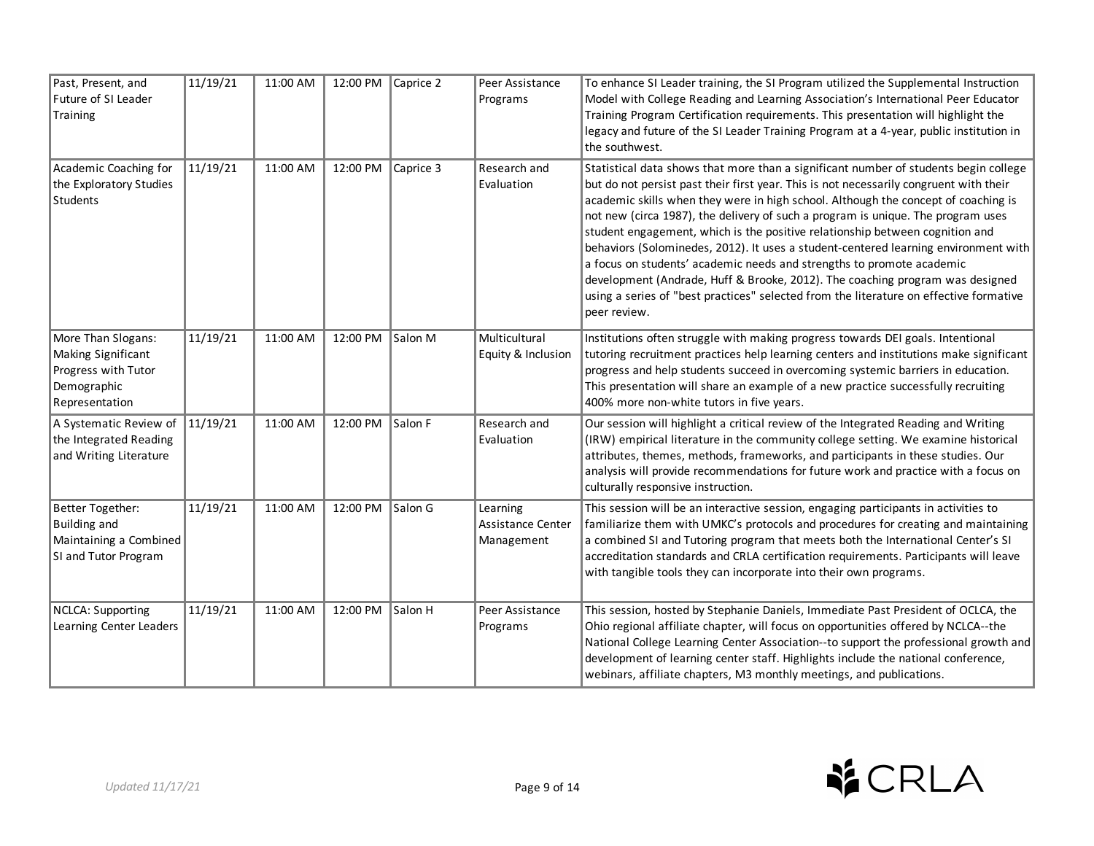| Past, Present, and<br>Future of SI Leader<br>Training                                            | 11/19/21 | 11:00 AM | 12:00 PM Caprice 2 |           | Peer Assistance<br>Programs                 | To enhance SI Leader training, the SI Program utilized the Supplemental Instruction<br>Model with College Reading and Learning Association's International Peer Educator<br>Training Program Certification requirements. This presentation will highlight the<br>legacy and future of the SI Leader Training Program at a 4-year, public institution in<br>the southwest.                                                                                                                                                                                                                                                                                                                                                                                                                           |
|--------------------------------------------------------------------------------------------------|----------|----------|--------------------|-----------|---------------------------------------------|-----------------------------------------------------------------------------------------------------------------------------------------------------------------------------------------------------------------------------------------------------------------------------------------------------------------------------------------------------------------------------------------------------------------------------------------------------------------------------------------------------------------------------------------------------------------------------------------------------------------------------------------------------------------------------------------------------------------------------------------------------------------------------------------------------|
| Academic Coaching for<br>the Exploratory Studies<br>Students                                     | 11/19/21 | 11:00 AM | 12:00 PM           | Caprice 3 | Research and<br>Evaluation                  | Statistical data shows that more than a significant number of students begin college<br>but do not persist past their first year. This is not necessarily congruent with their<br>academic skills when they were in high school. Although the concept of coaching is<br>not new (circa 1987), the delivery of such a program is unique. The program uses<br>student engagement, which is the positive relationship between cognition and<br>behaviors (Solominedes, 2012). It uses a student-centered learning environment with<br>a focus on students' academic needs and strengths to promote academic<br>development (Andrade, Huff & Brooke, 2012). The coaching program was designed<br>using a series of "best practices" selected from the literature on effective formative<br>peer review. |
| More Than Slogans:<br>Making Significant<br>Progress with Tutor<br>Demographic<br>Representation | 11/19/21 | 11:00 AM | 12:00 PM           | Salon M   | Multicultural<br>Equity & Inclusion         | Institutions often struggle with making progress towards DEI goals. Intentional<br>tutoring recruitment practices help learning centers and institutions make significant<br>progress and help students succeed in overcoming systemic barriers in education.<br>This presentation will share an example of a new practice successfully recruiting<br>400% more non-white tutors in five years.                                                                                                                                                                                                                                                                                                                                                                                                     |
| A Systematic Review of<br>the Integrated Reading<br>and Writing Literature                       | 11/19/21 | 11:00 AM | 12:00 PM Salon F   |           | Research and<br>Evaluation                  | Our session will highlight a critical review of the Integrated Reading and Writing<br>(IRW) empirical literature in the community college setting. We examine historical<br>attributes, themes, methods, frameworks, and participants in these studies. Our<br>analysis will provide recommendations for future work and practice with a focus on<br>culturally responsive instruction.                                                                                                                                                                                                                                                                                                                                                                                                             |
| <b>Better Together:</b><br><b>Building and</b><br>Maintaining a Combined<br>SI and Tutor Program | 11/19/21 | 11:00 AM | 12:00 PM           | Salon G   | Learning<br>Assistance Center<br>Management | This session will be an interactive session, engaging participants in activities to<br>familiarize them with UMKC's protocols and procedures for creating and maintaining<br>a combined SI and Tutoring program that meets both the International Center's SI<br>accreditation standards and CRLA certification requirements. Participants will leave<br>with tangible tools they can incorporate into their own programs.                                                                                                                                                                                                                                                                                                                                                                          |
| NCLCA: Supporting<br>Learning Center Leaders                                                     | 11/19/21 | 11:00 AM | 12:00 PM           | Salon H   | Peer Assistance<br>Programs                 | This session, hosted by Stephanie Daniels, Immediate Past President of OCLCA, the<br>Ohio regional affiliate chapter, will focus on opportunities offered by NCLCA--the<br>National College Learning Center Association--to support the professional growth and<br>development of learning center staff. Highlights include the national conference,<br>webinars, affiliate chapters, M3 monthly meetings, and publications.                                                                                                                                                                                                                                                                                                                                                                        |

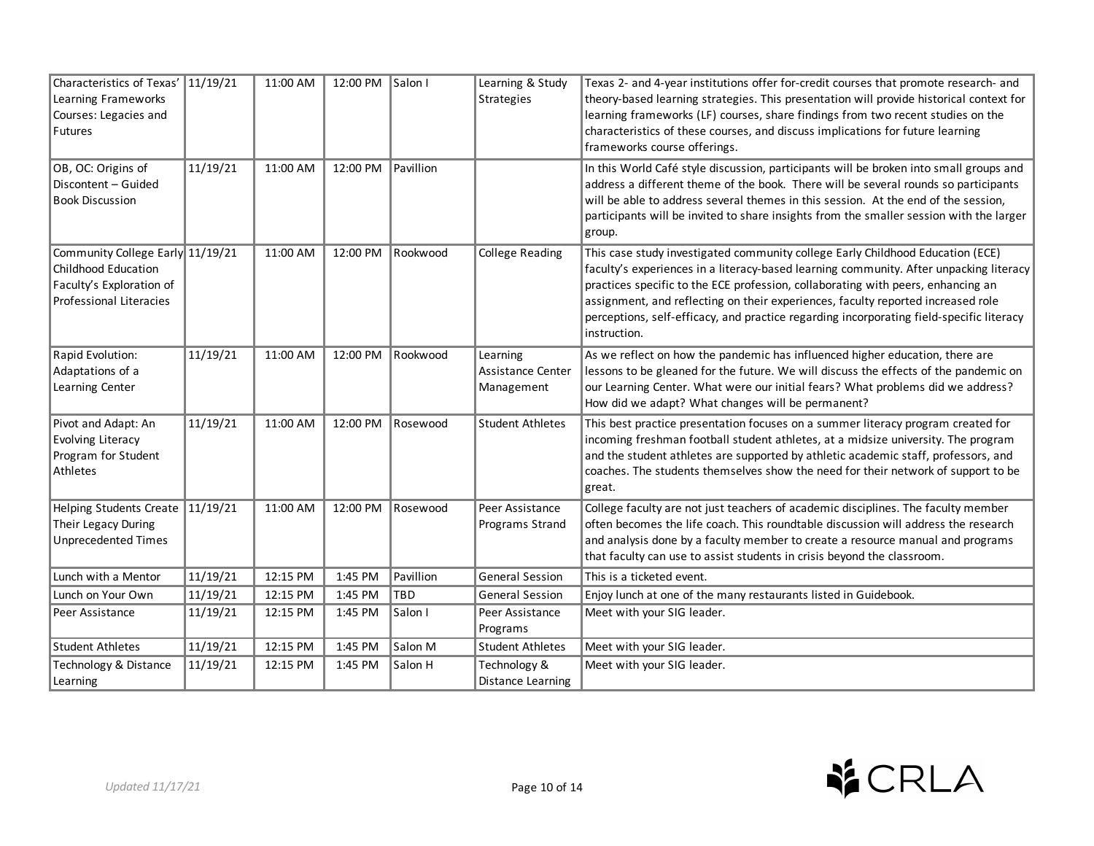| Characteristics of Texas' 11/19/21<br>Learning Frameworks<br>Courses: Legacies and<br>Futures                         |          | 11:00 AM | 12:00 PM Salon I |           | Learning & Study<br>Strategies              | Texas 2- and 4-year institutions offer for-credit courses that promote research- and<br>theory-based learning strategies. This presentation will provide historical context for<br>learning frameworks (LF) courses, share findings from two recent studies on the<br>characteristics of these courses, and discuss implications for future learning<br>frameworks course offerings.                                                                         |
|-----------------------------------------------------------------------------------------------------------------------|----------|----------|------------------|-----------|---------------------------------------------|--------------------------------------------------------------------------------------------------------------------------------------------------------------------------------------------------------------------------------------------------------------------------------------------------------------------------------------------------------------------------------------------------------------------------------------------------------------|
| OB, OC: Origins of<br>Discontent - Guided<br><b>Book Discussion</b>                                                   | 11/19/21 | 11:00 AM | 12:00 PM         | Pavillion |                                             | In this World Café style discussion, participants will be broken into small groups and<br>address a different theme of the book. There will be several rounds so participants<br>will be able to address several themes in this session. At the end of the session,<br>participants will be invited to share insights from the smaller session with the larger<br>group.                                                                                     |
| Community College Early 11/19/21<br>Childhood Education<br>Faculty's Exploration of<br><b>Professional Literacies</b> |          | 11:00 AM | 12:00 PM         | Rookwood  | <b>College Reading</b>                      | This case study investigated community college Early Childhood Education (ECE)<br>faculty's experiences in a literacy-based learning community. After unpacking literacy<br>practices specific to the ECE profession, collaborating with peers, enhancing an<br>assignment, and reflecting on their experiences, faculty reported increased role<br>perceptions, self-efficacy, and practice regarding incorporating field-specific literacy<br>instruction. |
| Rapid Evolution:<br>Adaptations of a<br>Learning Center                                                               | 11/19/21 | 11:00 AM | 12:00 PM         | Rookwood  | Learning<br>Assistance Center<br>Management | As we reflect on how the pandemic has influenced higher education, there are<br>lessons to be gleaned for the future. We will discuss the effects of the pandemic on<br>our Learning Center. What were our initial fears? What problems did we address?<br>How did we adapt? What changes will be permanent?                                                                                                                                                 |
| Pivot and Adapt: An<br><b>Evolving Literacy</b><br>Program for Student<br>Athletes                                    | 11/19/21 | 11:00 AM | 12:00 PM         | Rosewood  | <b>Student Athletes</b>                     | This best practice presentation focuses on a summer literacy program created for<br>incoming freshman football student athletes, at a midsize university. The program<br>and the student athletes are supported by athletic academic staff, professors, and<br>coaches. The students themselves show the need for their network of support to be<br>great.                                                                                                   |
| Helping Students Create 11/19/21<br>Their Legacy During<br><b>Unprecedented Times</b>                                 |          | 11:00 AM | 12:00 PM         | Rosewood  | Peer Assistance<br>Programs Strand          | College faculty are not just teachers of academic disciplines. The faculty member<br>often becomes the life coach. This roundtable discussion will address the research<br>and analysis done by a faculty member to create a resource manual and programs<br>that faculty can use to assist students in crisis beyond the classroom.                                                                                                                         |
| Lunch with a Mentor                                                                                                   | 11/19/21 | 12:15 PM | 1:45 PM          | Pavillion | <b>General Session</b>                      | This is a ticketed event.                                                                                                                                                                                                                                                                                                                                                                                                                                    |
| Lunch on Your Own                                                                                                     | 11/19/21 | 12:15 PM | 1:45 PM          | TBD       | <b>General Session</b>                      | Enjoy lunch at one of the many restaurants listed in Guidebook.                                                                                                                                                                                                                                                                                                                                                                                              |
| Peer Assistance                                                                                                       | 11/19/21 | 12:15 PM | 1:45 PM          | Salon I   | Peer Assistance<br>Programs                 | Meet with your SIG leader.                                                                                                                                                                                                                                                                                                                                                                                                                                   |
| Student Athletes                                                                                                      | 11/19/21 | 12:15 PM | 1:45 PM          | Salon M   | <b>Student Athletes</b>                     | Meet with your SIG leader.                                                                                                                                                                                                                                                                                                                                                                                                                                   |
| Technology & Distance<br>Learning                                                                                     | 11/19/21 | 12:15 PM | 1:45 PM          | Salon H   | Technology &<br>Distance Learning           | Meet with your SIG leader.                                                                                                                                                                                                                                                                                                                                                                                                                                   |

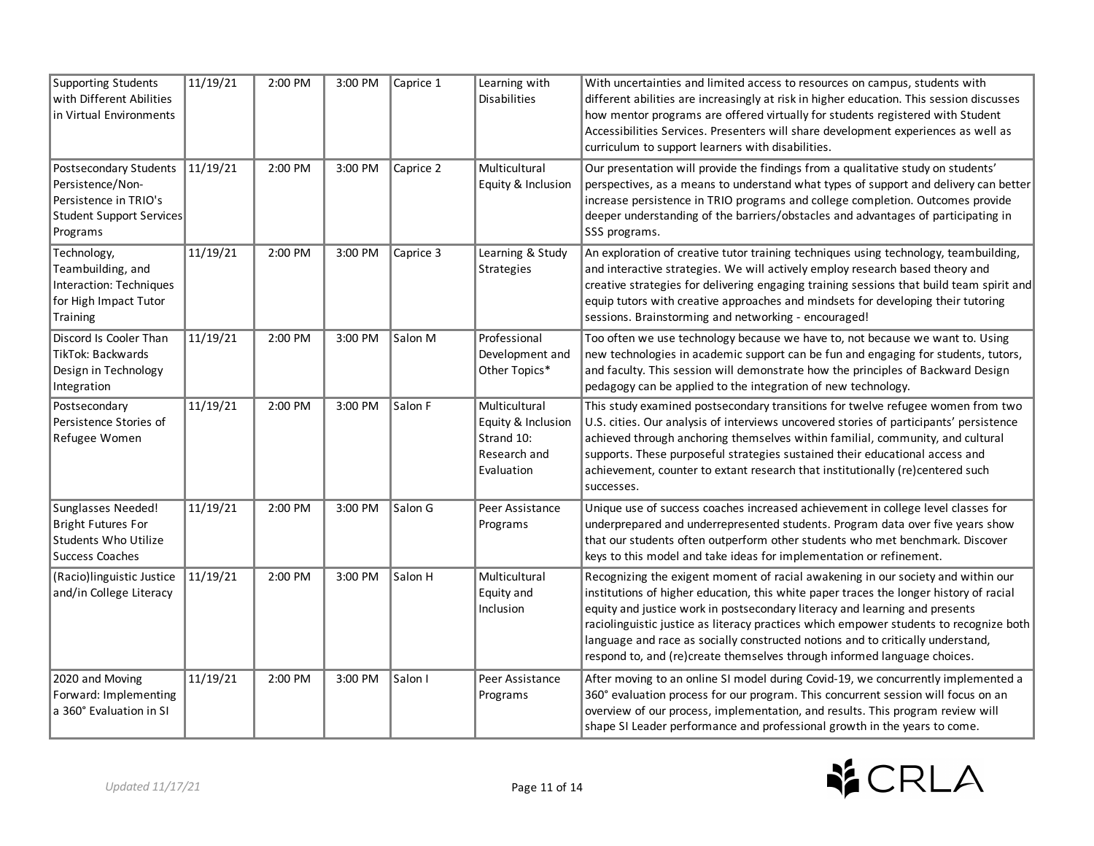| Supporting Students<br>with Different Abilities<br>in Virtual Environments                                  | 11/19/21 | 2:00 PM | 3:00 PM | Caprice 1 | Learning with<br><b>Disabilities</b>                                            | With uncertainties and limited access to resources on campus, students with<br>different abilities are increasingly at risk in higher education. This session discusses<br>how mentor programs are offered virtually for students registered with Student<br>Accessibilities Services. Presenters will share development experiences as well as<br>curriculum to support learners with disabilities.                                                                                                               |
|-------------------------------------------------------------------------------------------------------------|----------|---------|---------|-----------|---------------------------------------------------------------------------------|--------------------------------------------------------------------------------------------------------------------------------------------------------------------------------------------------------------------------------------------------------------------------------------------------------------------------------------------------------------------------------------------------------------------------------------------------------------------------------------------------------------------|
| Postsecondary Students<br>Persistence/Non-<br>Persistence in TRIO's<br>Student Support Services<br>Programs | 11/19/21 | 2:00 PM | 3:00 PM | Caprice 2 | Multicultural<br>Equity & Inclusion                                             | Our presentation will provide the findings from a qualitative study on students'<br>perspectives, as a means to understand what types of support and delivery can better<br>increase persistence in TRIO programs and college completion. Outcomes provide<br>deeper understanding of the barriers/obstacles and advantages of participating in<br>SSS programs.                                                                                                                                                   |
| Technology,<br>Teambuilding, and<br>Interaction: Techniques<br>for High Impact Tutor<br>Training            | 11/19/21 | 2:00 PM | 3:00 PM | Caprice 3 | Learning & Study<br>Strategies                                                  | An exploration of creative tutor training techniques using technology, teambuilding,<br>and interactive strategies. We will actively employ research based theory and<br>creative strategies for delivering engaging training sessions that build team spirit and<br>equip tutors with creative approaches and mindsets for developing their tutoring<br>sessions. Brainstorming and networking - encouraged!                                                                                                      |
| Discord Is Cooler Than<br><b>TikTok: Backwards</b><br>Design in Technology<br>Integration                   | 11/19/21 | 2:00 PM | 3:00 PM | Salon M   | Professional<br>Development and<br>Other Topics*                                | Too often we use technology because we have to, not because we want to. Using<br>new technologies in academic support can be fun and engaging for students, tutors,<br>and faculty. This session will demonstrate how the principles of Backward Design<br>pedagogy can be applied to the integration of new technology.                                                                                                                                                                                           |
| Postsecondary<br>Persistence Stories of<br>Refugee Women                                                    | 11/19/21 | 2:00 PM | 3:00 PM | Salon F   | Multicultural<br>Equity & Inclusion<br>Strand 10:<br>Research and<br>Evaluation | This study examined postsecondary transitions for twelve refugee women from two<br>U.S. cities. Our analysis of interviews uncovered stories of participants' persistence<br>achieved through anchoring themselves within familial, community, and cultural<br>supports. These purposeful strategies sustained their educational access and<br>achievement, counter to extant research that institutionally (re)centered such<br>successes.                                                                        |
| Sunglasses Needed!<br><b>Bright Futures For</b><br><b>Students Who Utilize</b><br><b>Success Coaches</b>    | 11/19/21 | 2:00 PM | 3:00 PM | Salon G   | Peer Assistance<br>Programs                                                     | Unique use of success coaches increased achievement in college level classes for<br>underprepared and underrepresented students. Program data over five years show<br>that our students often outperform other students who met benchmark. Discover<br>keys to this model and take ideas for implementation or refinement.                                                                                                                                                                                         |
| (Racio)linguistic Justice<br>and/in College Literacy                                                        | 11/19/21 | 2:00 PM | 3:00 PM | Salon H   | Multicultural<br>Equity and<br>Inclusion                                        | Recognizing the exigent moment of racial awakening in our society and within our<br>institutions of higher education, this white paper traces the longer history of racial<br>equity and justice work in postsecondary literacy and learning and presents<br>raciolinguistic justice as literacy practices which empower students to recognize both<br>language and race as socially constructed notions and to critically understand,<br>respond to, and (re)create themselves through informed language choices. |
| 2020 and Moving<br>Forward: Implementing<br>a 360° Evaluation in SI                                         | 11/19/21 | 2:00 PM | 3:00 PM | Salon I   | Peer Assistance<br>Programs                                                     | After moving to an online SI model during Covid-19, we concurrently implemented a<br>360° evaluation process for our program. This concurrent session will focus on an<br>overview of our process, implementation, and results. This program review will<br>shape SI Leader performance and professional growth in the years to come.                                                                                                                                                                              |

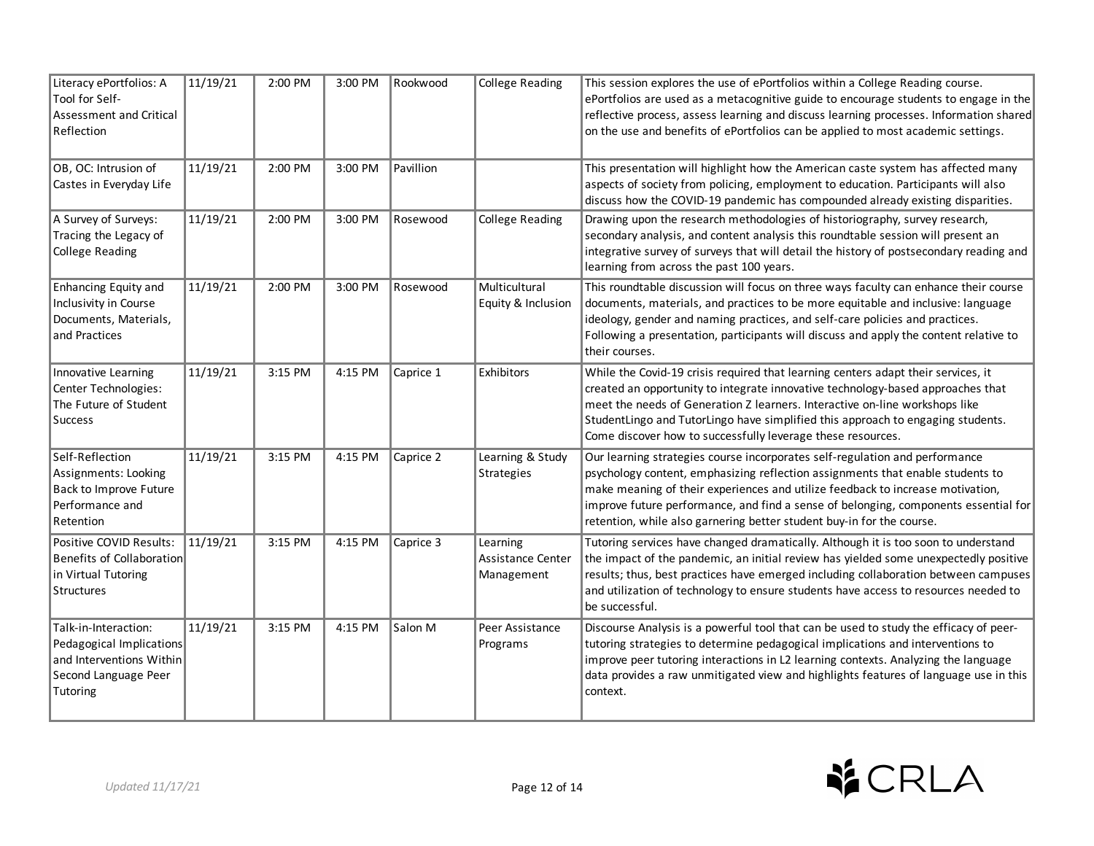| Literacy ePortfolios: A<br>Tool for Self-<br><b>Assessment and Critical</b><br>Reflection                        | 11/19/21 | 2:00 PM | 3:00 PM | Rookwood  | <b>College Reading</b>                             | This session explores the use of ePortfolios within a College Reading course.<br>ePortfolios are used as a metacognitive guide to encourage students to engage in the<br>reflective process, assess learning and discuss learning processes. Information shared<br>on the use and benefits of ePortfolios can be applied to most academic settings.                                                             |
|------------------------------------------------------------------------------------------------------------------|----------|---------|---------|-----------|----------------------------------------------------|-----------------------------------------------------------------------------------------------------------------------------------------------------------------------------------------------------------------------------------------------------------------------------------------------------------------------------------------------------------------------------------------------------------------|
| OB, OC: Intrusion of<br>Castes in Everyday Life                                                                  | 11/19/21 | 2:00 PM | 3:00 PM | Pavillion |                                                    | This presentation will highlight how the American caste system has affected many<br>aspects of society from policing, employment to education. Participants will also<br>discuss how the COVID-19 pandemic has compounded already existing disparities.                                                                                                                                                         |
| A Survey of Surveys:<br>Tracing the Legacy of<br><b>College Reading</b>                                          | 11/19/21 | 2:00 PM | 3:00 PM | Rosewood  | <b>College Reading</b>                             | Drawing upon the research methodologies of historiography, survey research,<br>secondary analysis, and content analysis this roundtable session will present an<br>integrative survey of surveys that will detail the history of postsecondary reading and<br>learning from across the past 100 years.                                                                                                          |
| <b>Enhancing Equity and</b><br>Inclusivity in Course<br>Documents, Materials,<br>and Practices                   | 11/19/21 | 2:00 PM | 3:00 PM | Rosewood  | Multicultural<br>Equity & Inclusion                | This roundtable discussion will focus on three ways faculty can enhance their course<br>documents, materials, and practices to be more equitable and inclusive: language<br>ideology, gender and naming practices, and self-care policies and practices.<br>Following a presentation, participants will discuss and apply the content relative to<br>their courses.                                             |
| Innovative Learning<br>Center Technologies:<br>The Future of Student<br><b>Success</b>                           | 11/19/21 | 3:15 PM | 4:15 PM | Caprice 1 | Exhibitors                                         | While the Covid-19 crisis required that learning centers adapt their services, it<br>created an opportunity to integrate innovative technology-based approaches that<br>meet the needs of Generation Z learners. Interactive on-line workshops like<br>StudentLingo and TutorLingo have simplified this approach to engaging students.<br>Come discover how to successfully leverage these resources.           |
| Self-Reflection<br>Assignments: Looking<br>Back to Improve Future<br>Performance and<br>Retention                | 11/19/21 | 3:15 PM | 4:15 PM | Caprice 2 | Learning & Study<br>Strategies                     | Our learning strategies course incorporates self-regulation and performance<br>psychology content, emphasizing reflection assignments that enable students to<br>make meaning of their experiences and utilize feedback to increase motivation,<br>improve future performance, and find a sense of belonging, components essential for<br>retention, while also garnering better student buy-in for the course. |
| Positive COVID Results:<br>Benefits of Collaboration<br>in Virtual Tutoring<br>Structures                        | 11/19/21 | 3:15 PM | 4:15 PM | Caprice 3 | Learning<br><b>Assistance Center</b><br>Management | Tutoring services have changed dramatically. Although it is too soon to understand<br>the impact of the pandemic, an initial review has yielded some unexpectedly positive<br>results; thus, best practices have emerged including collaboration between campuses<br>and utilization of technology to ensure students have access to resources needed to<br>be successful.                                      |
| Talk-in-Interaction:<br>Pedagogical Implications<br>and Interventions Within<br>Second Language Peer<br>Tutoring | 11/19/21 | 3:15 PM | 4:15 PM | Salon M   | Peer Assistance<br>Programs                        | Discourse Analysis is a powerful tool that can be used to study the efficacy of peer-<br>tutoring strategies to determine pedagogical implications and interventions to<br>improve peer tutoring interactions in L2 learning contexts. Analyzing the language<br>data provides a raw unmitigated view and highlights features of language use in this<br>context.                                               |

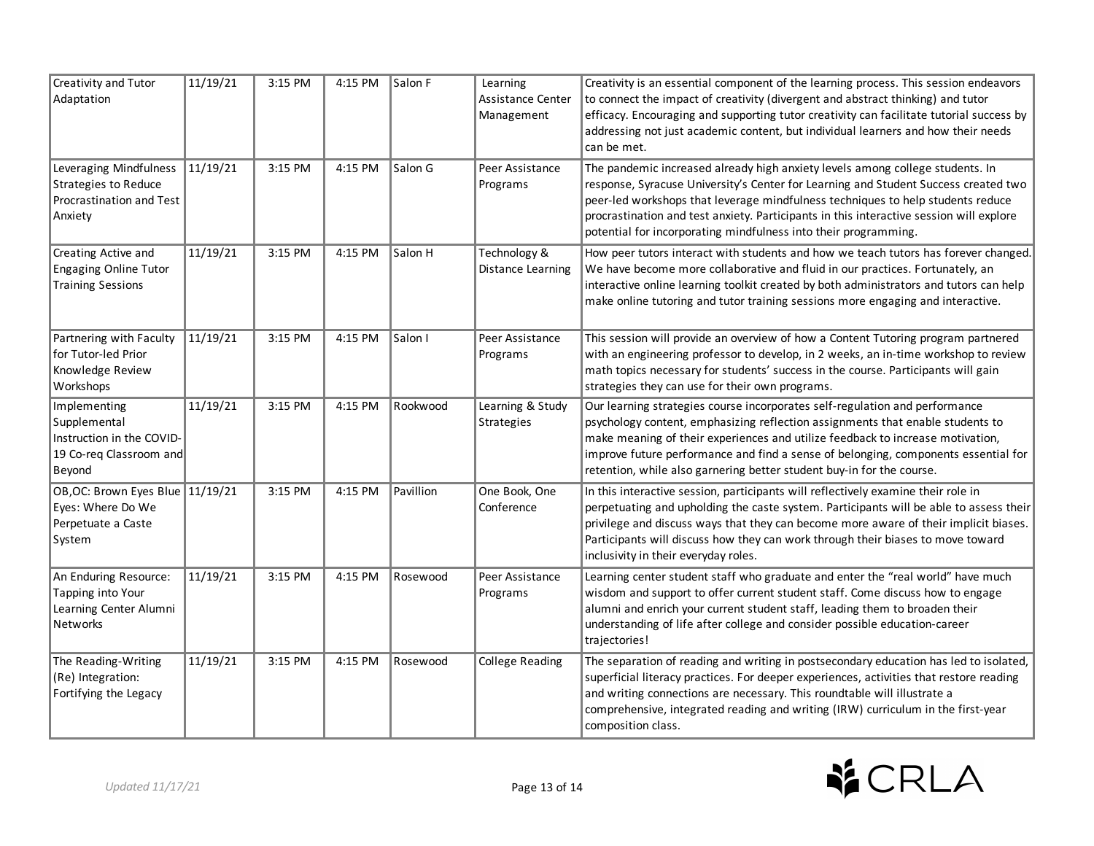| <b>Creativity and Tutor</b><br>Adaptation                                                      | 11/19/21 | 3:15 PM | 4:15 PM | Salon F   | Learning<br>Assistance Center<br>Management | Creativity is an essential component of the learning process. This session endeavors<br>to connect the impact of creativity (divergent and abstract thinking) and tutor<br>efficacy. Encouraging and supporting tutor creativity can facilitate tutorial success by<br>addressing not just academic content, but individual learners and how their needs<br>can be met.                                               |
|------------------------------------------------------------------------------------------------|----------|---------|---------|-----------|---------------------------------------------|-----------------------------------------------------------------------------------------------------------------------------------------------------------------------------------------------------------------------------------------------------------------------------------------------------------------------------------------------------------------------------------------------------------------------|
| Leveraging Mindfulness<br>Strategies to Reduce<br>Procrastination and Test<br>Anxiety          | 11/19/21 | 3:15 PM | 4:15 PM | Salon G   | Peer Assistance<br>Programs                 | The pandemic increased already high anxiety levels among college students. In<br>response, Syracuse University's Center for Learning and Student Success created two<br>peer-led workshops that leverage mindfulness techniques to help students reduce<br>procrastination and test anxiety. Participants in this interactive session will explore<br>potential for incorporating mindfulness into their programming. |
| Creating Active and<br><b>Engaging Online Tutor</b><br><b>Training Sessions</b>                | 11/19/21 | 3:15 PM | 4:15 PM | Salon H   | Technology &<br>Distance Learning           | How peer tutors interact with students and how we teach tutors has forever changed.<br>We have become more collaborative and fluid in our practices. Fortunately, an<br>interactive online learning toolkit created by both administrators and tutors can help<br>make online tutoring and tutor training sessions more engaging and interactive.                                                                     |
| Partnering with Faculty<br>for Tutor-led Prior<br>Knowledge Review<br>Workshops                | 11/19/21 | 3:15 PM | 4:15 PM | Salon I   | Peer Assistance<br>Programs                 | This session will provide an overview of how a Content Tutoring program partnered<br>with an engineering professor to develop, in 2 weeks, an in-time workshop to review<br>math topics necessary for students' success in the course. Participants will gain<br>strategies they can use for their own programs.                                                                                                      |
| Implementing<br>Supplemental<br>Instruction in the COVID-<br>19 Co-reg Classroom and<br>Beyond | 11/19/21 | 3:15 PM | 4:15 PM | Rookwood  | Learning & Study<br>Strategies              | Our learning strategies course incorporates self-regulation and performance<br>psychology content, emphasizing reflection assignments that enable students to<br>make meaning of their experiences and utilize feedback to increase motivation,<br>improve future performance and find a sense of belonging, components essential for<br>retention, while also garnering better student buy-in for the course.        |
| OB, OC: Brown Eyes Blue 11/19/21<br>Eyes: Where Do We<br>Perpetuate a Caste<br>System          |          | 3:15 PM | 4:15 PM | Pavillion | One Book, One<br>Conference                 | In this interactive session, participants will reflectively examine their role in<br>perpetuating and upholding the caste system. Participants will be able to assess their<br>privilege and discuss ways that they can become more aware of their implicit biases.<br>Participants will discuss how they can work through their biases to move toward<br>inclusivity in their everyday roles.                        |
| An Enduring Resource:<br>Tapping into Your<br>Learning Center Alumni<br><b>Networks</b>        | 11/19/21 | 3:15 PM | 4:15 PM | Rosewood  | Peer Assistance<br>Programs                 | Learning center student staff who graduate and enter the "real world" have much<br>wisdom and support to offer current student staff. Come discuss how to engage<br>alumni and enrich your current student staff, leading them to broaden their<br>understanding of life after college and consider possible education-career<br>trajectories!                                                                        |
| The Reading-Writing<br>(Re) Integration:<br>Fortifying the Legacy                              | 11/19/21 | 3:15 PM | 4:15 PM | Rosewood  | <b>College Reading</b>                      | The separation of reading and writing in postsecondary education has led to isolated,<br>superficial literacy practices. For deeper experiences, activities that restore reading<br>and writing connections are necessary. This roundtable will illustrate a<br>comprehensive, integrated reading and writing (IRW) curriculum in the first-year<br>composition class.                                                |